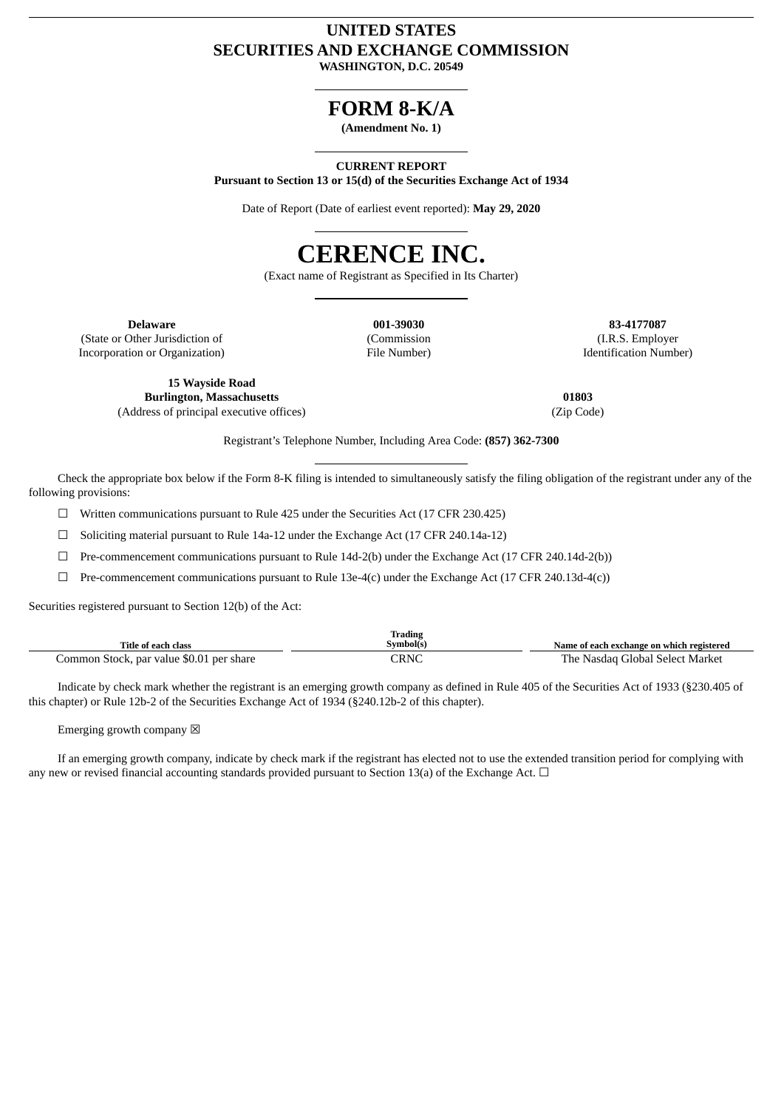## **UNITED STATES SECURITIES AND EXCHANGE COMMISSION WASHINGTON, D.C. 20549**

**FORM 8-K/A**

**(Amendment No. 1)**

## **CURRENT REPORT**

**Pursuant to Section 13 or 15(d) of the Securities Exchange Act of 1934**

Date of Report (Date of earliest event reported): **May 29, 2020**



(Exact name of Registrant as Specified in Its Charter)

(State or Other Jurisdiction of Incorporation or Organization)

(Commission File Number)

**Delaware 001-39030 83-4177087** (I.R.S. Employer Identification Number)

**15 Wayside Road Burlington, Massachusetts** (Address of principal executive offices)

**01803** (Zip Code)

Registrant's Telephone Number, Including Area Code: **(857) 362-7300**

Check the appropriate box below if the Form 8-K filing is intended to simultaneously satisfy the filing obligation of the registrant under any of the following provisions:

 $\Box$  Written communications pursuant to Rule 425 under the Securities Act (17 CFR 230.425)

☐ Soliciting material pursuant to Rule 14a-12 under the Exchange Act (17 CFR 240.14a-12)

☐ Pre-commencement communications pursuant to Rule 14d-2(b) under the Exchange Act (17 CFR 240.14d-2(b))

 $\Box$  Pre-commencement communications pursuant to Rule 13e-4(c) under the Exchange Act (17 CFR 240.13d-4(c))

Securities registered pursuant to Section 12(b) of the Act:

| Title of each class                      | Trading<br>Symbol(s) | Name of each exchange on which registered |
|------------------------------------------|----------------------|-------------------------------------------|
| Common Stock, par value \$0.01 per share | CRNC                 | The Nasdag Global Select Market           |

Indicate by check mark whether the registrant is an emerging growth company as defined in Rule 405 of the Securities Act of 1933 (§230.405 of this chapter) or Rule 12b-2 of the Securities Exchange Act of 1934 (§240.12b-2 of this chapter).

Emerging growth company  $\boxtimes$ 

If an emerging growth company, indicate by check mark if the registrant has elected not to use the extended transition period for complying with any new or revised financial accounting standards provided pursuant to Section 13(a) of the Exchange Act.  $\Box$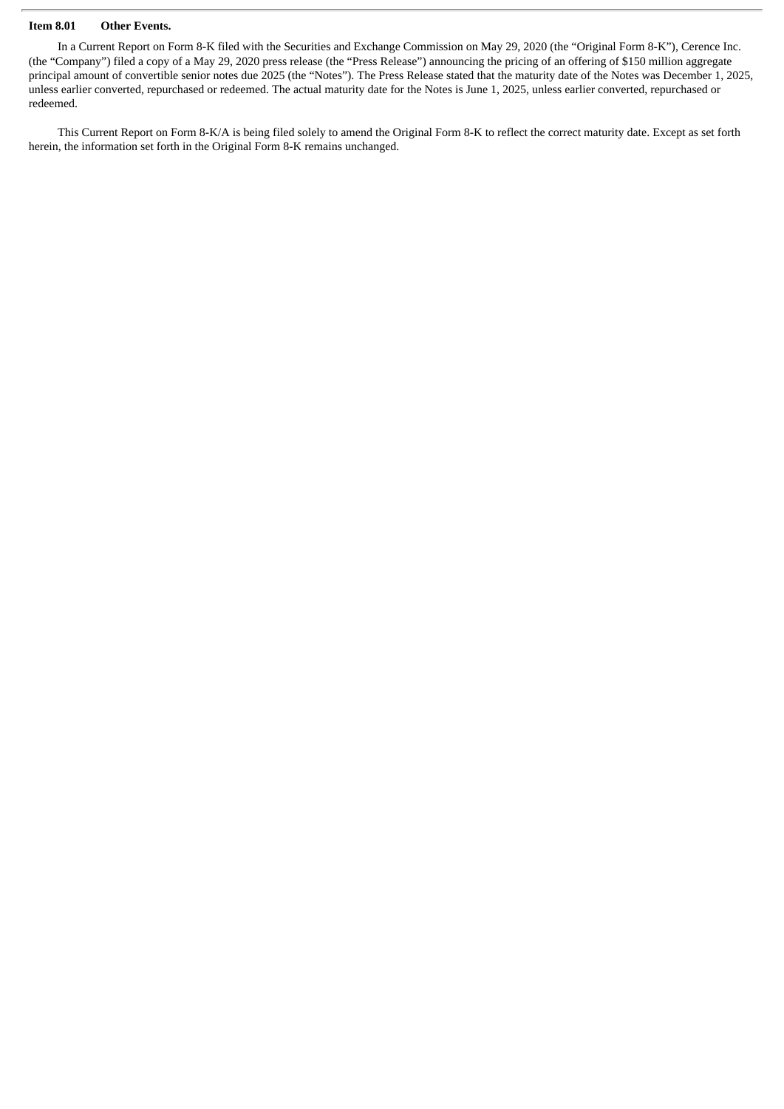## **Item 8.01 Other Events.**

In a Current Report on Form 8-K filed with the Securities and Exchange Commission on May 29, 2020 (the "Original Form 8-K"), Cerence Inc. (the "Company") filed a copy of a May 29, 2020 press release (the "Press Release") announcing the pricing of an offering of \$150 million aggregate principal amount of convertible senior notes due 2025 (the "Notes"). The Press Release stated that the maturity date of the Notes was December 1, 2025, unless earlier converted, repurchased or redeemed. The actual maturity date for the Notes is June 1, 2025, unless earlier converted, repurchased or redeemed.

This Current Report on Form 8-K/A is being filed solely to amend the Original Form 8-K to reflect the correct maturity date. Except as set forth herein, the information set forth in the Original Form 8-K remains unchanged.